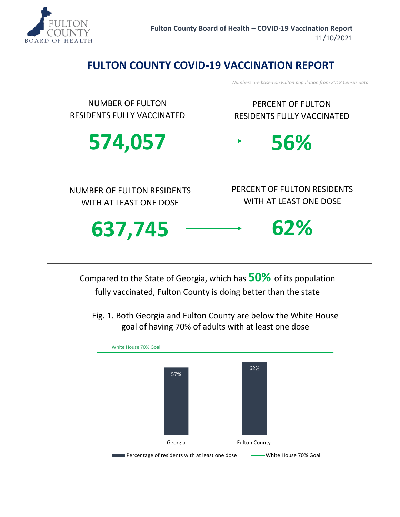

## **FULTON COUNTY COVID-19 VACCINATION REPORT**

*Numbers are based on Fulton population from 2018 Census data.* 



Compared to the State of Georgia, which has **50%** of its population fully vaccinated, Fulton County is doing better than the state

Fig. 1. Both Georgia and Fulton County are below the White House goal of having 70% of adults with at least one dose

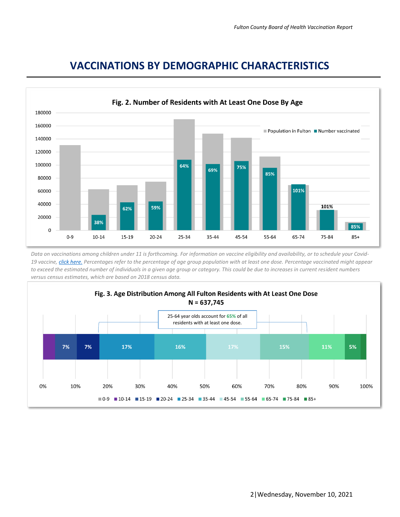

## **VACCINATIONS BY DEMOGRAPHIC CHARACTERISTICS**

*Data on vaccinations among children under 11 is forthcoming. For information on vaccine eligibility and availability, or to schedule your Covid-19 vaccine, [click here.](https://dph.georgia.gov/covid-vaccine) Percentages refer to the percentage of age group population with at least one dose. Percentage vaccinated might appear to exceed the estimated number of individuals in a given age group or category. This could be due to increases in current resident numbers versus census estimates, which are based on 2018 census data.* 

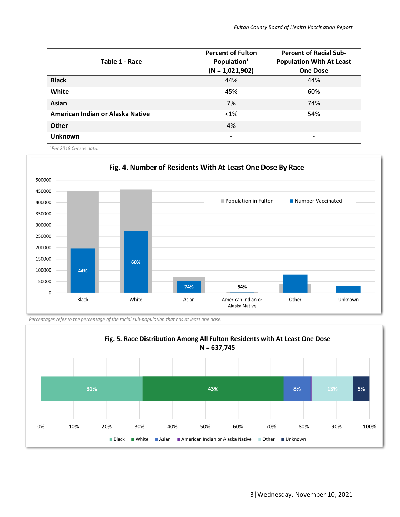| Table 1 - Race                   | <b>Percent of Fulton</b><br>Population <sup>1</sup><br>$(N = 1,021,902)$ | <b>Percent of Racial Sub-</b><br><b>Population With At Least</b><br><b>One Dose</b> |
|----------------------------------|--------------------------------------------------------------------------|-------------------------------------------------------------------------------------|
| <b>Black</b>                     | 44%                                                                      | 44%                                                                                 |
| White                            | 45%                                                                      | 60%                                                                                 |
| Asian                            | 7%                                                                       | 74%                                                                                 |
| American Indian or Alaska Native | $< 1\%$                                                                  | 54%                                                                                 |
| <b>Other</b>                     | 4%                                                                       | $\overline{\phantom{0}}$                                                            |
| <b>Unknown</b>                   |                                                                          |                                                                                     |

*<sup>1</sup>Per 2018 Census data.*



*Percentages refer to the percentage of the racial sub-population that has at least one dose.*

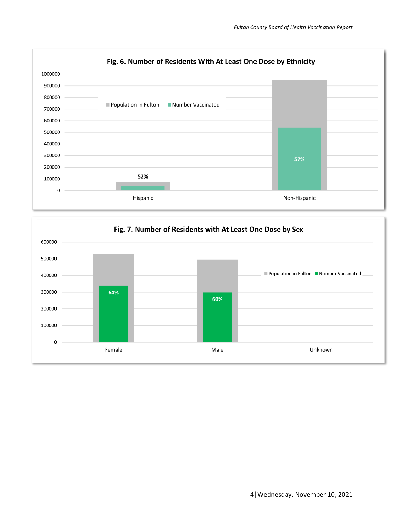

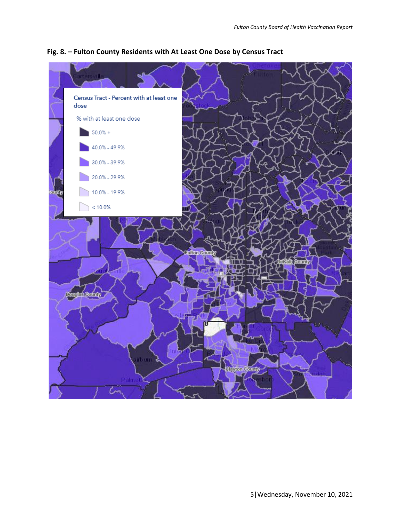

## **Fig. 8. – Fulton County Residents with At Least One Dose by Census Tract**